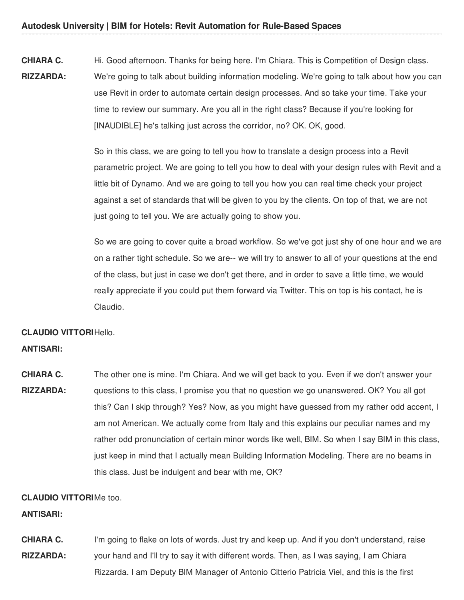**CHIARA C. RIZZARDA:** Hi. Good afternoon. Thanks for being here. I'm Chiara. This is Competition of Design class. We're going to talk about building information modeling. We're going to talk about how you can use Revit in order to automate certain design processes. And so take your time. Take your time to review our summary. Are you all in the right class? Because if you're looking for [INAUDIBLE] he's talking just across the corridor, no? OK. OK, good.

> So in this class, we are going to tell you how to translate a design process into a Revit parametric project. We are going to tell you how to deal with your design rules with Revit and a little bit of Dynamo. And we are going to tell you how you can real time check your project against a set of standards that will be given to you by the clients. On top of that, we are not just going to tell you. We are actually going to show you.

> So we are going to cover quite a broad workflow. So we've got just shy of one hour and we are on a rather tight schedule. So we are-- we will try to answer to all of your questions at the end of the class, but just in case we don't get there, and in order to save a little time, we would really appreciate if you could put them forward via Twitter. This on top is his contact, he is Claudio.

# **CLAUDIO VITTORI** Hello.

#### **ANTISARI:**

**CHIARA C. RIZZARDA:** The other one is mine. I'm Chiara. And we will get back to you. Even if we don't answer your questions to this class, I promise you that no question we go unanswered. OK? You all got this? Can I skip through? Yes? Now, as you might have guessed from my rather odd accent, I am not American. We actually come from Italy and this explains our peculiar names and my rather odd pronunciation of certain minor words like well, BIM. So when I say BIM in this class, just keep in mind that I actually mean Building Information Modeling. There are no beams in this class. Just be indulgent and bear with me, OK?

### **CLAUDIO VITTORI** Me too.

### **ANTISARI:**

**CHIARA C. RIZZARDA:** I'm going to flake on lots of words. Just try and keep up. And if you don't understand, raise your hand and I'll try to say it with different words. Then, as I was saying, I am Chiara Rizzarda. I am Deputy BIM Manager of Antonio Citterio Patricia Viel, and this is the first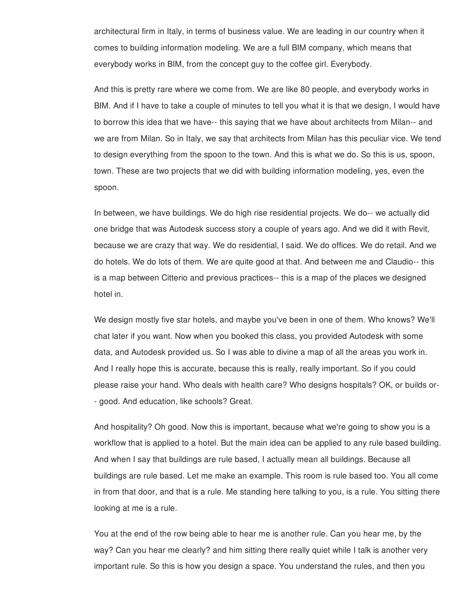architectural firm in Italy, in terms of business value. We are leading in our country when it comes to building information modeling. We are a full BIM company, which means that everybody works in BIM, from the concept guy to the coffee girl. Everybody.

And this is pretty rare where we come from. We are like 80 people, and everybody works in BIM. And if I have to take a couple of minutes to tell you what it is that we design, I would have to borrow this idea that we have-- this saying that we have about architects from Milan-- and we are from Milan. So in Italy, we say that architects from Milan has this peculiar vice. We tend to design everything from the spoon to the town. And this is what we do. So this is us, spoon, town. These are two projects that we did with building information modeling, yes, even the spoon.

In between, we have buildings. We do high rise residential projects. We do-- we actually did one bridge that was Autodesk success story a couple of years ago. And we did it with Revit, because we are crazy that way. We do residential, I said. We do offices. We do retail. And we do hotels. We do lots of them. We are quite good at that. And between me and Claudio-- this is a map between Citterio and previous practices-- this is a map of the places we designed hotel in.

We design mostly five star hotels, and maybe you've been in one of them. Who knows? We'll chat later if you want. Now when you booked this class, you provided Autodesk with some data, and Autodesk provided us. So I was able to divine a map of all the areas you work in. And I really hope this is accurate, because this is really, really important. So if you could please raise your hand. Who deals with health care? Who designs hospitals? OK, or builds or- - good. And education, like schools? Great.

And hospitality? Oh good. Now this is important, because what we're going to show you is a workflow that is applied to a hotel. But the main idea can be applied to any rule based building. And when I say that buildings are rule based, I actually mean all buildings. Because all buildings are rule based. Let me make an example. This room is rule based too. You all come in from that door, and that is a rule. Me standing here talking to you, is a rule. You sitting there looking at me is a rule.

You at the end of the row being able to hear me is another rule. Can you hear me, by the way? Can you hear me clearly? and him sitting there really quiet while I talk is another very important rule. So this is how you design a space. You understand the rules, and then you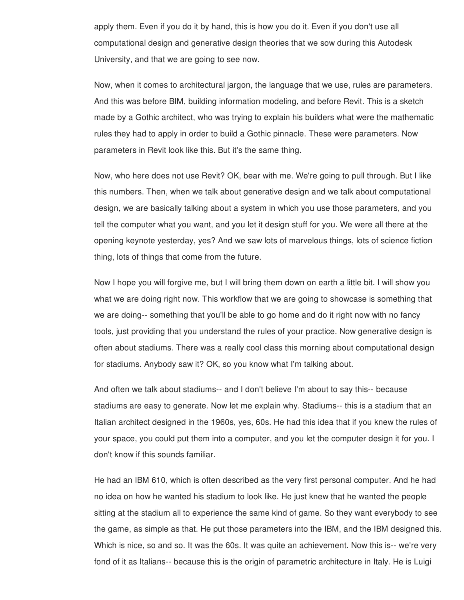apply them. Even if you do it by hand, this is how you do it. Even if you don't use all computational design and generative design theories that we sow during this Autodesk University, and that we are going to see now.

Now, when it comes to architectural jargon, the language that we use, rules are parameters. And this was before BIM, building information modeling, and before Revit. This is a sketch made by a Gothic architect, who was trying to explain his builders what were the mathematic rules they had to apply in order to build a Gothic pinnacle. These were parameters. Now parameters in Revit look like this. But it's the same thing.

Now, who here does not use Revit? OK, bear with me. We're going to pull through. But I like this numbers. Then, when we talk about generative design and we talk about computational design, we are basically talking about a system in which you use those parameters, and you tell the computer what you want, and you let it design stuff for you. We were all there at the opening keynote yesterday, yes? And we saw lots of marvelous things, lots of science fiction thing, lots of things that come from the future.

Now I hope you will forgive me, but I will bring them down on earth a little bit. I will show you what we are doing right now. This workflow that we are going to showcase is something that we are doing-- something that you'll be able to go home and do it right now with no fancy tools, just providing that you understand the rules of your practice. Now generative design is often about stadiums. There was a really cool class this morning about computational design for stadiums. Anybody saw it? OK, so you know what I'm talking about.

And often we talk about stadiums-- and I don't believe I'm about to say this-- because stadiums are easy to generate. Now let me explain why. Stadiums-- this is a stadium that an Italian architect designed in the 1960s, yes, 60s. He had this idea that if you knew the rules of your space, you could put them into a computer, and you let the computer design it for you. I don't know if this sounds familiar.

He had an IBM 610, which is often described as the very first personal computer. And he had no idea on how he wanted his stadium to look like. He just knew that he wanted the people sitting at the stadium all to experience the same kind of game. So they want everybody to see the game, as simple as that. He put those parameters into the IBM, and the IBM designed this. Which is nice, so and so. It was the 60s. It was quite an achievement. Now this is-- we're very fond of it as Italians-- because this is the origin of parametric architecture in Italy. He is Luigi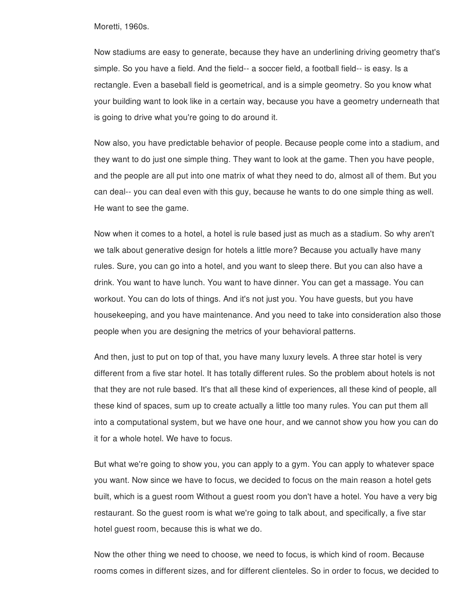Moretti, 1960s.

Now stadiums are easy to generate, because they have an underlining driving geometry that's simple. So you have a field. And the field-- a soccer field, a football field-- is easy. Is a rectangle. Even a baseball field is geometrical, and is a simple geometry. So you know what your building want to look like in a certain way, because you have a geometry underneath that is going to drive what you're going to do around it.

Now also, you have predictable behavior of people. Because people come into a stadium, and they want to do just one simple thing. They want to look at the game. Then you have people, and the people are all put into one matrix of what they need to do, almost all of them. But you can deal-- you can deal even with this guy, because he wants to do one simple thing as well. He want to see the game.

Now when it comes to a hotel, a hotel is rule based just as much as a stadium. So why aren't we talk about generative design for hotels a little more? Because you actually have many rules. Sure, you can go into a hotel, and you want to sleep there. But you can also have a drink. You want to have lunch. You want to have dinner. You can get a massage. You can workout. You can do lots of things. And it's not just you. You have guests, but you have housekeeping, and you have maintenance. And you need to take into consideration also those people when you are designing the metrics of your behavioral patterns.

And then, just to put on top of that, you have many luxury levels. A three star hotel is very different from a five star hotel. It has totally different rules. So the problem about hotels is not that they are not rule based. It's that all these kind of experiences, all these kind of people, all these kind of spaces, sum up to create actually a little too many rules. You can put them all into a computational system, but we have one hour, and we cannot show you how you can do it for a whole hotel. We have to focus.

But what we're going to show you, you can apply to a gym. You can apply to whatever space you want. Now since we have to focus, we decided to focus on the main reason a hotel gets built, which is a guest room Without a guest room you don't have a hotel. You have a very big restaurant. So the guest room is what we're going to talk about, and specifically, a five star hotel guest room, because this is what we do.

Now the other thing we need to choose, we need to focus, is which kind of room. Because rooms comes in different sizes, and for different clienteles. So in order to focus, we decided to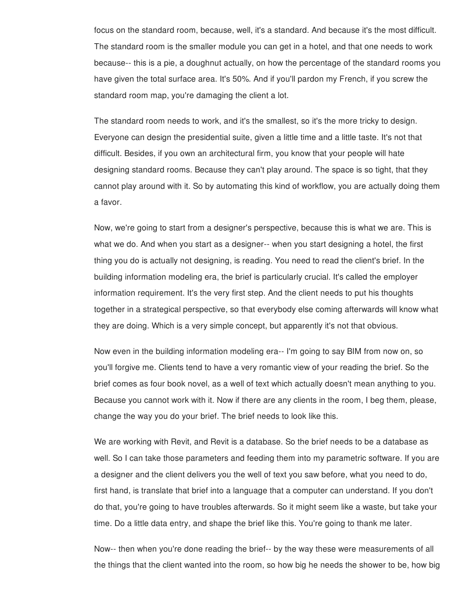focus on the standard room, because, well, it's a standard. And because it's the most difficult. The standard room is the smaller module you can get in a hotel, and that one needs to work because-- this is a pie, a doughnut actually, on how the percentage of the standard rooms you have given the total surface area. It's 50%. And if you'll pardon my French, if you screw the standard room map, you're damaging the client a lot.

The standard room needs to work, and it's the smallest, so it's the more tricky to design. Everyone can design the presidential suite, given a little time and a little taste. It's not that difficult. Besides, if you own an architectural firm, you know that your people will hate designing standard rooms. Because they can't play around. The space is so tight, that they cannot play around with it. So by automating this kind of workflow, you are actually doing them a favor.

Now, we're going to start from a designer's perspective, because this is what we are. This is what we do. And when you start as a designer-- when you start designing a hotel, the first thing you do is actually not designing, is reading. You need to read the client's brief. In the building information modeling era, the brief is particularly crucial. It's called the employer information requirement. It's the very first step. And the client needs to put his thoughts together in a strategical perspective, so that everybody else coming afterwards will know what they are doing. Which is a very simple concept, but apparently it's not that obvious.

Now even in the building information modeling era-- I'm going to say BIM from now on, so you'll forgive me. Clients tend to have a very romantic view of your reading the brief. So the brief comes as four book novel, as a well of text which actually doesn't mean anything to you. Because you cannot work with it. Now if there are any clients in the room, I beg them, please, change the way you do your brief. The brief needs to look like this.

We are working with Revit, and Revit is a database. So the brief needs to be a database as well. So I can take those parameters and feeding them into my parametric software. If you are a designer and the client delivers you the well of text you saw before, what you need to do, first hand, is translate that brief into a language that a computer can understand. If you don't do that, you're going to have troubles afterwards. So it might seem like a waste, but take your time. Do a little data entry, and shape the brief like this. You're going to thank me later.

Now-- then when you're done reading the brief-- by the way these were measurements of all the things that the client wanted into the room, so how big he needs the shower to be, how big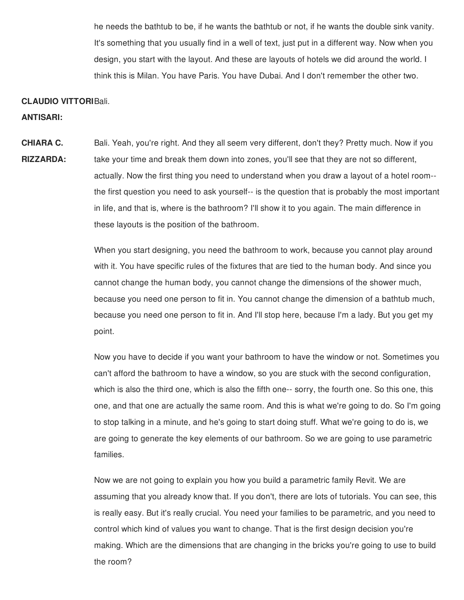he needs the bathtub to be, if he wants the bathtub or not, if he wants the double sink vanity. It's something that you usually find in a well of text, just put in a different way. Now when you design, you start with the layout. And these are layouts of hotels we did around the world. I think this is Milan. You have Paris. You have Dubai. And I don't remember the other two.

#### **CLAUDIO VITTORI** Bali.

**ANTISARI:**

**CHIARA C. RIZZARDA:** Bali. Yeah, you're right. And they all seem very different, don't they? Pretty much. Now if you take your time and break them down into zones, you'll see that they are not so different, actually. Now the first thing you need to understand when you draw a layout of a hotel room- the first question you need to ask yourself-- is the question that is probably the most important in life, and that is, where is the bathroom? I'll show it to you again. The main difference in these layouts is the position of the bathroom.

> When you start designing, you need the bathroom to work, because you cannot play around with it. You have specific rules of the fixtures that are tied to the human body. And since you cannot change the human body, you cannot change the dimensions of the shower much, because you need one person to fit in. You cannot change the dimension of a bathtub much, because you need one person to fit in. And I'll stop here, because I'm a lady. But you get my point.

Now you have to decide if you want your bathroom to have the window or not. Sometimes you can't afford the bathroom to have a window, so you are stuck with the second configuration, which is also the third one, which is also the fifth one-- sorry, the fourth one. So this one, this one, and that one are actually the same room. And this is what we're going to do. So I'm going to stop talking in a minute, and he's going to start doing stuff. What we're going to do is, we are going to generate the key elements of our bathroom. So we are going to use parametric families.

Now we are not going to explain you how you build a parametric family Revit. We are assuming that you already know that. If you don't, there are lots of tutorials. You can see, this is really easy. But it's really crucial. You need your families to be parametric, and you need to control which kind of values you want to change. That is the first design decision you're making. Which are the dimensions that are changing in the bricks you're going to use to build the room?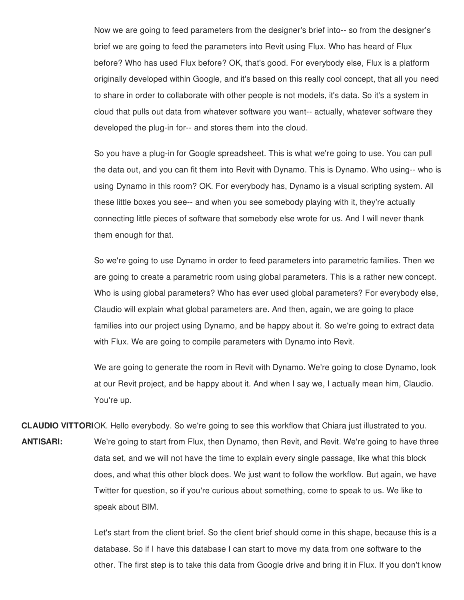Now we are going to feed parameters from the designer's brief into-- so from the designer's brief we are going to feed the parameters into Revit using Flux. Who has heard of Flux before? Who has used Flux before? OK, that's good. For everybody else, Flux is a platform originally developed within Google, and it's based on this really cool concept, that all you need to share in order to collaborate with other people is not models, it's data. So it's a system in cloud that pulls out data from whatever software you want-- actually, whatever software they developed the plug-in for-- and stores them into the cloud.

So you have a plug-in for Google spreadsheet. This is what we're going to use. You can pull the data out, and you can fit them into Revit with Dynamo. This is Dynamo. Who using-- who is using Dynamo in this room? OK. For everybody has, Dynamo is a visual scripting system. All these little boxes you see-- and when you see somebody playing with it, they're actually connecting little pieces of software that somebody else wrote for us. And I will never thank them enough for that.

So we're going to use Dynamo in order to feed parameters into parametric families. Then we are going to create a parametric room using global parameters. This is a rather new concept. Who is using global parameters? Who has ever used global parameters? For everybody else, Claudio will explain what global parameters are. And then, again, we are going to place families into our project using Dynamo, and be happy about it. So we're going to extract data with Flux. We are going to compile parameters with Dynamo into Revit.

We are going to generate the room in Revit with Dynamo. We're going to close Dynamo, look at our Revit project, and be happy about it. And when I say we, I actually mean him, Claudio. You're up.

**CLAUDIO VITTORI** OK. Hello everybody. So we're going to see this workflow that Chiara just illustrated to you. **ANTISARI:** We're going to start from Flux, then Dynamo, then Revit, and Revit. We're going to have three data set, and we will not have the time to explain every single passage, like what this block does, and what this other block does. We just want to follow the workflow. But again, we have Twitter for question, so if you're curious about something, come to speak to us. We like to speak about BIM.

> Let's start from the client brief. So the client brief should come in this shape, because this is a database. So if I have this database I can start to move my data from one software to the other. The first step is to take this data from Google drive and bring it in Flux. If you don't know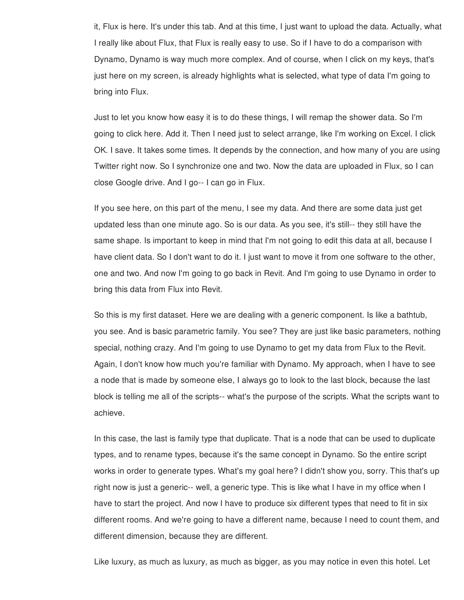it, Flux is here. It's under this tab. And at this time, I just want to upload the data. Actually, what I really like about Flux, that Flux is really easy to use. So if I have to do a comparison with Dynamo, Dynamo is way much more complex. And of course, when I click on my keys, that's just here on my screen, is already highlights what is selected, what type of data I'm going to bring into Flux.

Just to let you know how easy it is to do these things, I will remap the shower data. So I'm going to click here. Add it. Then I need just to select arrange, like I'm working on Excel. I click OK. I save. It takes some times. It depends by the connection, and how many of you are using Twitter right now. So I synchronize one and two. Now the data are uploaded in Flux, so I can close Google drive. And I go-- I can go in Flux.

If you see here, on this part of the menu, I see my data. And there are some data just get updated less than one minute ago. So is our data. As you see, it's still-- they still have the same shape. Is important to keep in mind that I'm not going to edit this data at all, because I have client data. So I don't want to do it. I just want to move it from one software to the other, one and two. And now I'm going to go back in Revit. And I'm going to use Dynamo in order to bring this data from Flux into Revit.

So this is my first dataset. Here we are dealing with a generic component. Is like a bathtub, you see. And is basic parametric family. You see? They are just like basic parameters, nothing special, nothing crazy. And I'm going to use Dynamo to get my data from Flux to the Revit. Again, I don't know how much you're familiar with Dynamo. My approach, when I have to see a node that is made by someone else, I always go to look to the last block, because the last block is telling me all of the scripts-- what's the purpose of the scripts. What the scripts want to achieve.

In this case, the last is family type that duplicate. That is a node that can be used to duplicate types, and to rename types, because it's the same concept in Dynamo. So the entire script works in order to generate types. What's my goal here? I didn't show you, sorry. This that's up right now is just a generic-- well, a generic type. This is like what I have in my office when I have to start the project. And now I have to produce six different types that need to fit in six different rooms. And we're going to have a different name, because I need to count them, and different dimension, because they are different.

Like luxury, as much as luxury, as much as bigger, as you may notice in even this hotel. Let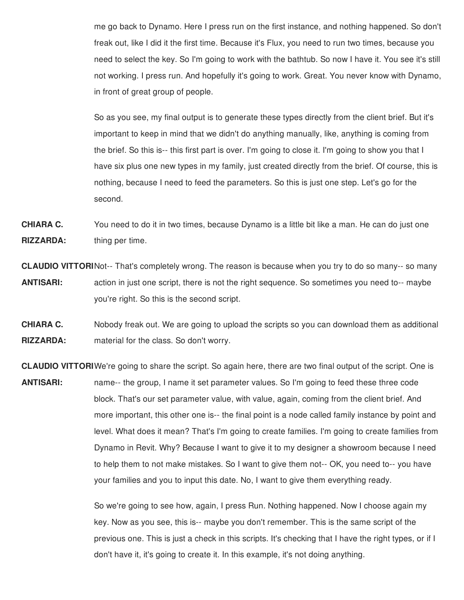me go back to Dynamo. Here I press run on the first instance, and nothing happened. So don't freak out, like I did it the first time. Because it's Flux, you need to run two times, because you need to select the key. So I'm going to work with the bathtub. So now I have it. You see it's still not working. I press run. And hopefully it's going to work. Great. You never know with Dynamo, in front of great group of people.

So as you see, my final output is to generate these types directly from the client brief. But it's important to keep in mind that we didn't do anything manually, like, anything is coming from the brief. So this is-- this first part is over. I'm going to close it. I'm going to show you that I have six plus one new types in my family, just created directly from the brief. Of course, this is nothing, because I need to feed the parameters. So this is just one step. Let's go for the second.

**CHIARA C. RIZZARDA:** You need to do it in two times, because Dynamo is a little bit like a man. He can do just one thing per time.

**CLAUDIO VITTORI** Not-- That's completely wrong. The reason is because when you try to do so many-- so many **ANTISARI:** action in just one script, there is not the right sequence. So sometimes you need to-- maybe you're right. So this is the second script.

**CHIARA C. RIZZARDA:** Nobody freak out. We are going to upload the scripts so you can download them as additional material for the class. So don't worry.

**CLAUDIO VITTORI** We're going to share the script. So again here, there are two final output of the script. One is **ANTISARI:** name-- the group, I name it set parameter values. So I'm going to feed these three code block. That's our set parameter value, with value, again, coming from the client brief. And more important, this other one is-- the final point is a node called family instance by point and level. What does it mean? That's I'm going to create families. I'm going to create families from Dynamo in Revit. Why? Because I want to give it to my designer a showroom because I need to help them to not make mistakes. So I want to give them not-- OK, you need to-- you have your families and you to input this date. No, I want to give them everything ready.

> So we're going to see how, again, I press Run. Nothing happened. Now I choose again my key. Now as you see, this is-- maybe you don't remember. This is the same script of the previous one. This is just a check in this scripts. It's checking that I have the right types, or if I don't have it, it's going to create it. In this example, it's not doing anything.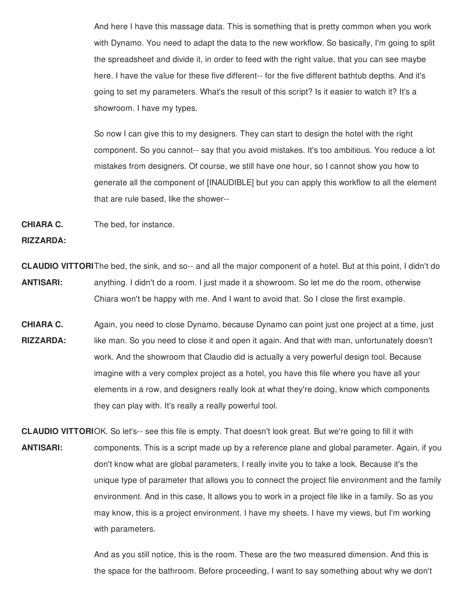And here I have this massage data. This is something that is pretty common when you work with Dynamo. You need to adapt the data to the new workflow. So basically, I'm going to split the spreadsheet and divide it, in order to feed with the right value, that you can see maybe here. I have the value for these five different-- for the five different bathtub depths. And it's going to set my parameters. What's the result of this script? Is it easier to watch it? It's a showroom. I have my types.

So now I can give this to my designers. They can start to design the hotel with the right component. So you cannot-- say that you avoid mistakes. It's too ambitious. You reduce a lot mistakes from designers. Of course, we still have one hour, so I cannot show you how to generate all the component of [INAUDIBLE] but you can apply this workflow to all the element that are rule based, like the shower--

**CHIARA C.** The bed, for instance.

#### **RIZZARDA:**

**CLAUDIO VITTORI** The bed, the sink, and so-- and all the major component of a hotel. But at this point, I didn't do **ANTISARI:** anything. I didn't do a room. I just made it a showroom. So let me do the room, otherwise Chiara won't be happy with me. And I want to avoid that. So I close the first example.

**CHIARA C. RIZZARDA:** Again, you need to close Dynamo, because Dynamo can point just one project at a time, just like man. So you need to close it and open it again. And that with man, unfortunately doesn't work. And the showroom that Claudio did is actually a very powerful design tool. Because imagine with a very complex project as a hotel, you have this file where you have all your elements in a row, and designers really look at what they're doing, know which components they can play with. It's really a really powerful tool.

**CLAUDIO VITTORI** OK. So let's-- see this file is empty. That doesn't look great. But we're going to fill it with **ANTISARI:** components. This is a script made up by a reference plane and global parameter. Again, if you don't know what are global parameters, I really invite you to take a look. Because it's the unique type of parameter that allows you to connect the project file environment and the family environment. And in this case, It allows you to work in a project file like in a family. So as you may know, this is a project environment. I have my sheets. I have my views, but I'm working with parameters.

> And as you still notice, this is the room. These are the two measured dimension. And this is the space for the bathroom. Before proceeding, I want to say something about why we don't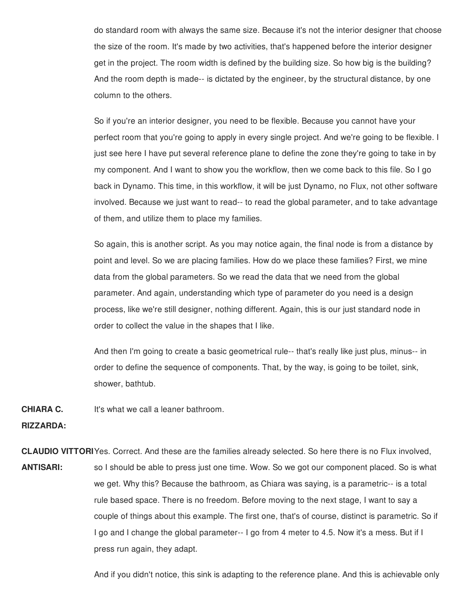do standard room with always the same size. Because it's not the interior designer that choose the size of the room. It's made by two activities, that's happened before the interior designer get in the project. The room width is defined by the building size. So how big is the building? And the room depth is made-- is dictated by the engineer, by the structural distance, by one column to the others.

So if you're an interior designer, you need to be flexible. Because you cannot have your perfect room that you're going to apply in every single project. And we're going to be flexible. I just see here I have put several reference plane to define the zone they're going to take in by my component. And I want to show you the workflow, then we come back to this file. So I go back in Dynamo. This time, in this workflow, it will be just Dynamo, no Flux, not other software involved. Because we just want to read-- to read the global parameter, and to take advantage of them, and utilize them to place my families.

So again, this is another script. As you may notice again, the final node is from a distance by point and level. So we are placing families. How do we place these families? First, we mine data from the global parameters. So we read the data that we need from the global parameter. And again, understanding which type of parameter do you need is a design process, like we're still designer, nothing different. Again, this is our just standard node in order to collect the value in the shapes that I like.

And then I'm going to create a basic geometrical rule-- that's really like just plus, minus-- in order to define the sequence of components. That, by the way, is going to be toilet, sink, shower, bathtub.

**CHIARA C.** It's what we call a leaner bathroom.

**RIZZARDA:**

**CLAUDIO VITTORI** Yes. Correct. And these are the families already selected. So here there is no Flux involved, **ANTISARI:** so I should be able to press just one time. Wow. So we got our component placed. So is what we get. Why this? Because the bathroom, as Chiara was saying, is a parametric-- is a total rule based space. There is no freedom. Before moving to the next stage, I want to say a couple of things about this example. The first one, that's of course, distinct is parametric. So if I go and I change the global parameter-- I go from 4 meter to 4.5. Now it's a mess. But if I press run again, they adapt.

And if you didn't notice, this sink is adapting to the reference plane. And this is achievable only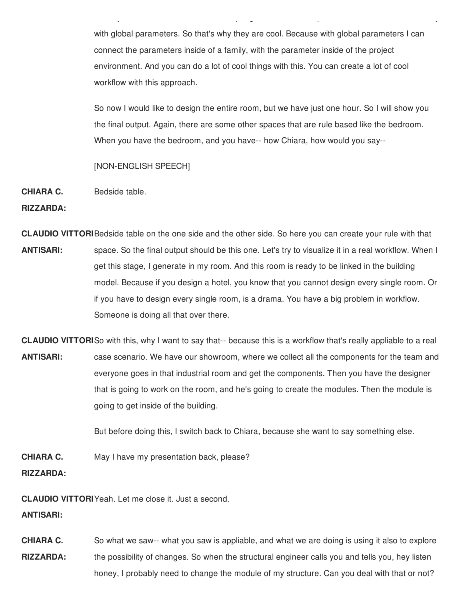with global parameters. So that's why they are cool. Because with global parameters I can connect the parameters inside of a family, with the parameter inside of the project environment. And you can do a lot of cool things with this. You can create a lot of cool workflow with this approach.

 $A\subset\mathcal{A}$  is adapting to this sink is adapting to the reference plane. And this is adapting to this is a

So now I would like to design the entire room, but we have just one hour. So I will show you the final output. Again, there are some other spaces that are rule based like the bedroom. When you have the bedroom, and you have-- how Chiara, how would you say--

#### [NON-ENGLISH SPEECH]

**CHIARA C.** Bedside table.

**RIZZARDA:**

**CLAUDIO VITTORI** Bedside table on the one side and the other side. So here you can create your rule with that **ANTISARI:** space. So the final output should be this one. Let's try to visualize it in a real workflow. When I get this stage, I generate in my room. And this room is ready to be linked in the building model. Because if you design a hotel, you know that you cannot design every single room. Or if you have to design every single room, is a drama. You have a big problem in workflow. Someone is doing all that over there.

**CLAUDIO VITTORI** So with this, why I want to say that-- because this is a workflow that's really appliable to a real **ANTISARI:** case scenario. We have our showroom, where we collect all the components for the team and everyone goes in that industrial room and get the components. Then you have the designer that is going to work on the room, and he's going to create the modules. Then the module is going to get inside of the building.

But before doing this, I switch back to Chiara, because she want to say something else.

**CHIARA C.** May I have my presentation back, please?

**RIZZARDA:**

**CLAUDIO VITTORI** Yeah. Let me close it. Just a second.

**ANTISARI:**

**CHIARA C. RIZZARDA:** So what we saw-- what you saw is appliable, and what we are doing is using it also to explore the possibility of changes. So when the structural engineer calls you and tells you, hey listen honey, I probably need to change the module of my structure. Can you deal with that or not?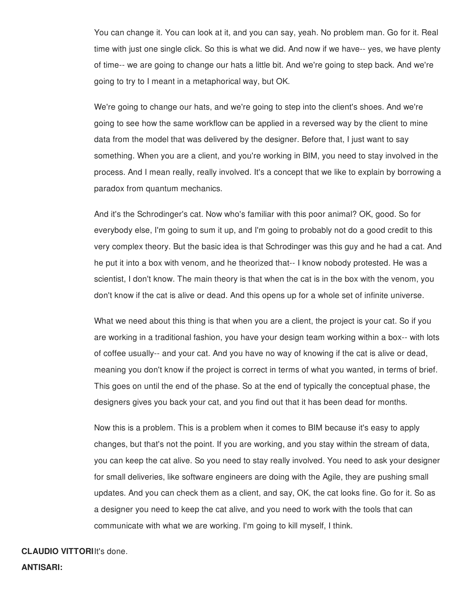You can change it. You can look at it, and you can say, yeah. No problem man. Go for it. Real time with just one single click. So this is what we did. And now if we have-- yes, we have plenty of time-- we are going to change our hats a little bit. And we're going to step back. And we're going to try to I meant in a metaphorical way, but OK.

We're going to change our hats, and we're going to step into the client's shoes. And we're going to see how the same workflow can be applied in a reversed way by the client to mine data from the model that was delivered by the designer. Before that, I just want to say something. When you are a client, and you're working in BIM, you need to stay involved in the process. And I mean really, really involved. It's a concept that we like to explain by borrowing a paradox from quantum mechanics.

And it's the Schrodinger's cat. Now who's familiar with this poor animal? OK, good. So for everybody else, I'm going to sum it up, and I'm going to probably not do a good credit to this very complex theory. But the basic idea is that Schrodinger was this guy and he had a cat. And he put it into a box with venom, and he theorized that-- I know nobody protested. He was a scientist, I don't know. The main theory is that when the cat is in the box with the venom, you don't know if the cat is alive or dead. And this opens up for a whole set of infinite universe.

What we need about this thing is that when you are a client, the project is your cat. So if you are working in a traditional fashion, you have your design team working within a box-- with lots of coffee usually-- and your cat. And you have no way of knowing if the cat is alive or dead, meaning you don't know if the project is correct in terms of what you wanted, in terms of brief. This goes on until the end of the phase. So at the end of typically the conceptual phase, the designers gives you back your cat, and you find out that it has been dead for months.

Now this is a problem. This is a problem when it comes to BIM because it's easy to apply changes, but that's not the point. If you are working, and you stay within the stream of data, you can keep the cat alive. So you need to stay really involved. You need to ask your designer for small deliveries, like software engineers are doing with the Agile, they are pushing small updates. And you can check them as a client, and say, OK, the cat looks fine. Go for it. So as a designer you need to keep the cat alive, and you need to work with the tools that can communicate with what we are working. I'm going to kill myself, I think.

#### **CLAUDIO VITTORI** It's done.

**ANTISARI:**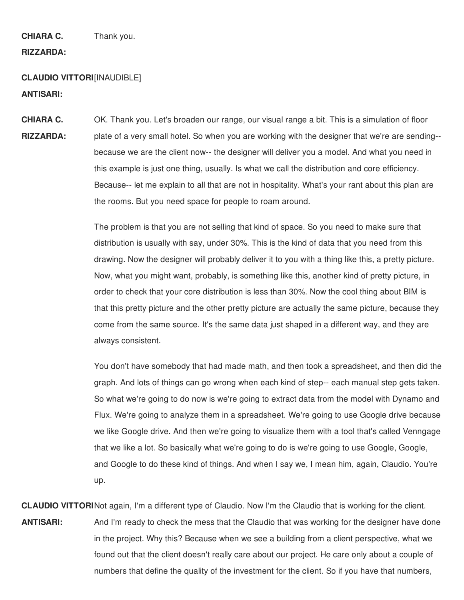**CHIARA C.** Thank you.

#### **RIZZARDA:**

## **CLAUDIO VITTORI** [INAUDIBLE] **ANTISARI:**

**CHIARA C. RIZZARDA:** OK. Thank you. Let's broaden our range, our visual range a bit. This is a simulation of floor plate of a very small hotel. So when you are working with the designer that we're are sending- because we are the client now-- the designer will deliver you a model. And what you need in this example is just one thing, usually. Is what we call the distribution and core efficiency. Because-- let me explain to all that are not in hospitality. What's your rant about this plan are the rooms. But you need space for people to roam around.

> The problem is that you are not selling that kind of space. So you need to make sure that distribution is usually with say, under 30%. This is the kind of data that you need from this drawing. Now the designer will probably deliver it to you with a thing like this, a pretty picture. Now, what you might want, probably, is something like this, another kind of pretty picture, in order to check that your core distribution is less than 30%. Now the cool thing about BIM is that this pretty picture and the other pretty picture are actually the same picture, because they come from the same source. It's the same data just shaped in a different way, and they are always consistent.

> You don't have somebody that had made math, and then took a spreadsheet, and then did the graph. And lots of things can go wrong when each kind of step-- each manual step gets taken. So what we're going to do now is we're going to extract data from the model with Dynamo and Flux. We're going to analyze them in a spreadsheet. We're going to use Google drive because we like Google drive. And then we're going to visualize them with a tool that's called Venngage that we like a lot. So basically what we're going to do is we're going to use Google, Google, and Google to do these kind of things. And when I say we, I mean him, again, Claudio. You're up.

**CLAUDIO VITTORI** Not again, I'm a different type of Claudio. Now I'm the Claudio that is working for the client. **ANTISARI:** And I'm ready to check the mess that the Claudio that was working for the designer have done in the project. Why this? Because when we see a building from a client perspective, what we found out that the client doesn't really care about our project. He care only about a couple of numbers that define the quality of the investment for the client. So if you have that numbers,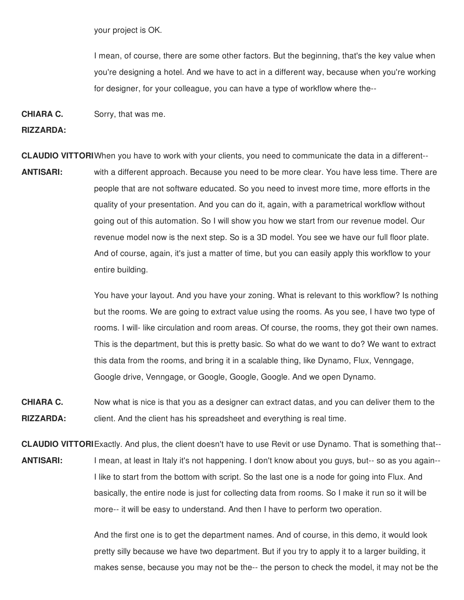your project is OK.

I mean, of course, there are some other factors. But the beginning, that's the key value when you're designing a hotel. And we have to act in a different way, because when you're working for designer, for your colleague, you can have a type of workflow where the--

**CHIARA C.** Sorry, that was me.

**RIZZARDA:**

**CLAUDIO VITTORI** When you have to work with your clients, you need to communicate the data in a different--

**ANTISARI:** with a different approach. Because you need to be more clear. You have less time. There are people that are not software educated. So you need to invest more time, more efforts in the quality of your presentation. And you can do it, again, with a parametrical workflow without going out of this automation. So I will show you how we start from our revenue model. Our revenue model now is the next step. So is a 3D model. You see we have our full floor plate. And of course, again, it's just a matter of time, but you can easily apply this workflow to your entire building.

> You have your layout. And you have your zoning. What is relevant to this workflow? Is nothing but the rooms. We are going to extract value using the rooms. As you see, I have two type of rooms. I will- like circulation and room areas. Of course, the rooms, they got their own names. This is the department, but this is pretty basic. So what do we want to do? We want to extract this data from the rooms, and bring it in a scalable thing, like Dynamo, Flux, Venngage, Google drive, Venngage, or Google, Google, Google. And we open Dynamo.

**CHIARA C. RIZZARDA:** Now what is nice is that you as a designer can extract datas, and you can deliver them to the client. And the client has his spreadsheet and everything is real time.

**CLAUDIO VITTORI** Exactly. And plus, the client doesn't have to use Revit or use Dynamo. That is something that-- **ANTISARI:** I mean, at least in Italy it's not happening. I don't know about you guys, but-- so as you again-- I like to start from the bottom with script. So the last one is a node for going into Flux. And basically, the entire node is just for collecting data from rooms. So I make it run so it will be more-- it will be easy to understand. And then I have to perform two operation.

> And the first one is to get the department names. And of course, in this demo, it would look pretty silly because we have two department. But if you try to apply it to a larger building, it makes sense, because you may not be the-- the person to check the model, it may not be the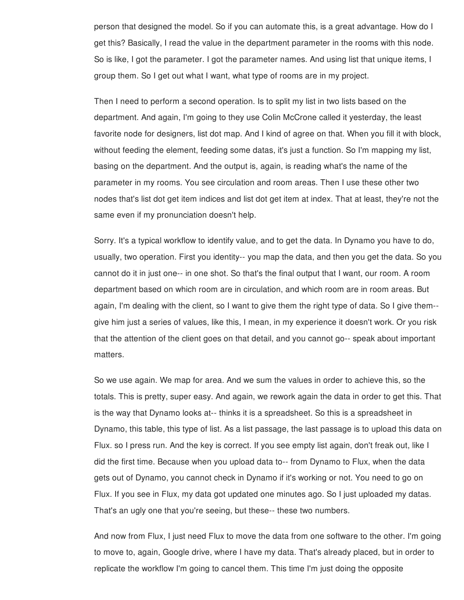person that designed the model. So if you can automate this, is a great advantage. How do I get this? Basically, I read the value in the department parameter in the rooms with this node. So is like, I got the parameter. I got the parameter names. And using list that unique items, I group them. So I get out what I want, what type of rooms are in my project.

Then I need to perform a second operation. Is to split my list in two lists based on the department. And again, I'm going to they use Colin McCrone called it yesterday, the least favorite node for designers, list dot map. And I kind of agree on that. When you fill it with block, without feeding the element, feeding some datas, it's just a function. So I'm mapping my list, basing on the department. And the output is, again, is reading what's the name of the parameter in my rooms. You see circulation and room areas. Then I use these other two nodes that's list dot get item indices and list dot get item at index. That at least, they're not the same even if my pronunciation doesn't help.

Sorry. It's a typical workflow to identify value, and to get the data. In Dynamo you have to do, usually, two operation. First you identity-- you map the data, and then you get the data. So you cannot do it in just one-- in one shot. So that's the final output that I want, our room. A room department based on which room are in circulation, and which room are in room areas. But again, I'm dealing with the client, so I want to give them the right type of data. So I give them- give him just a series of values, like this, I mean, in my experience it doesn't work. Or you risk that the attention of the client goes on that detail, and you cannot go-- speak about important matters.

So we use again. We map for area. And we sum the values in order to achieve this, so the totals. This is pretty, super easy. And again, we rework again the data in order to get this. That is the way that Dynamo looks at-- thinks it is a spreadsheet. So this is a spreadsheet in Dynamo, this table, this type of list. As a list passage, the last passage is to upload this data on Flux. so I press run. And the key is correct. If you see empty list again, don't freak out, like I did the first time. Because when you upload data to-- from Dynamo to Flux, when the data gets out of Dynamo, you cannot check in Dynamo if it's working or not. You need to go on Flux. If you see in Flux, my data got updated one minutes ago. So I just uploaded my datas. That's an ugly one that you're seeing, but these-- these two numbers.

And now from Flux, I just need Flux to move the data from one software to the other. I'm going to move to, again, Google drive, where I have my data. That's already placed, but in order to replicate the workflow I'm going to cancel them. This time I'm just doing the opposite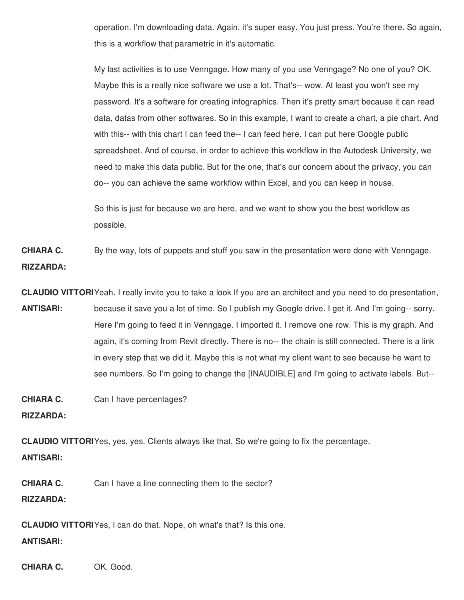operation. I'm downloading data. Again, it's super easy. You just press. You're there. So again, this is a workflow that parametric in it's automatic.

My last activities is to use Venngage. How many of you use Venngage? No one of you? OK. Maybe this is a really nice software we use a lot. That's-- wow. At least you won't see my password. It's a software for creating infographics. Then it's pretty smart because it can read data, datas from other softwares. So in this example, I want to create a chart, a pie chart. And with this-- with this chart I can feed the-- I can feed here. I can put here Google public spreadsheet. And of course, in order to achieve this workflow in the Autodesk University, we need to make this data public. But for the one, that's our concern about the privacy, you can do-- you can achieve the same workflow within Excel, and you can keep in house.

So this is just for because we are here, and we want to show you the best workflow as possible.

**CHIARA C. RIZZARDA:** By the way, lots of puppets and stuff you saw in the presentation were done with Venngage.

**CLAUDIO VITTORI** Yeah. I really invite you to take a look If you are an architect and you need to do presentation, **ANTISARI:** because it save you a lot of time. So I publish my Google drive. I get it. And I'm going-- sorry. Here I'm going to feed it in Venngage. I imported it. I remove one row. This is my graph. And again, it's coming from Revit directly. There is no-- the chain is still connected. There is a link in every step that we did it. Maybe this is not what my client want to see because he want to see numbers. So I'm going to change the [INAUDIBLE] and I'm going to activate labels. But--

**CHIARA C.** Can I have percentages?

**RIZZARDA:**

**CLAUDIO VITTORI** Yes, yes, yes. Clients always like that. So we're going to fix the percentage. **ANTISARI:**

**CHIARA C.** Can I have a line connecting them to the sector?

**RIZZARDA:**

**CLAUDIO VITTORI** Yes, I can do that. Nope, oh what's that? Is this one. **ANTISARI:**

**CHIARA C.** OK. Good.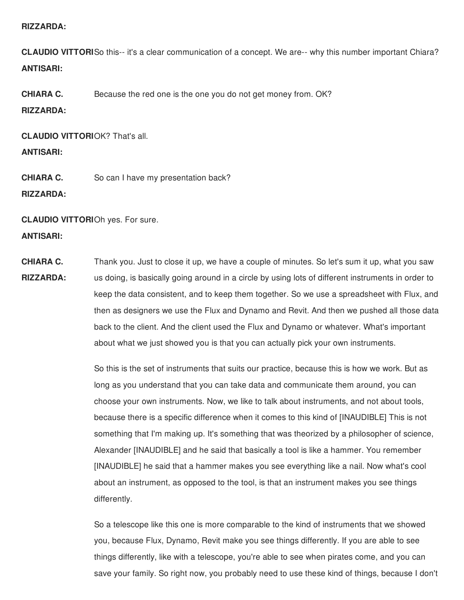#### **RIZZARDA:**

**CLAUDIO VITTORI** So this-- it's a clear communication of a concept. We are-- why this number important Chiara? **ANTISARI:**

**CHIARA C.** Because the red one is the one you do not get money from. OK?

#### **RIZZARDA:**

**CLAUDIO VITTORI** OK? That's all.

#### **ANTISARI:**

**CHIARA C.** So can I have my presentation back?

**RIZZARDA:**

**CLAUDIO VITTORI** Oh yes. For sure. **ANTISARI:**

**CHIARA C. RIZZARDA:** Thank you. Just to close it up, we have a couple of minutes. So let's sum it up, what you saw us doing, is basically going around in a circle by using lots of different instruments in order to keep the data consistent, and to keep them together. So we use a spreadsheet with Flux, and then as designers we use the Flux and Dynamo and Revit. And then we pushed all those data back to the client. And the client used the Flux and Dynamo or whatever. What's important about what we just showed you is that you can actually pick your own instruments.

> So this is the set of instruments that suits our practice, because this is how we work. But as long as you understand that you can take data and communicate them around, you can choose your own instruments. Now, we like to talk about instruments, and not about tools, because there is a specific difference when it comes to this kind of [INAUDIBLE] This is not something that I'm making up. It's something that was theorized by a philosopher of science, Alexander [INAUDIBLE] and he said that basically a tool is like a hammer. You remember [INAUDIBLE] he said that a hammer makes you see everything like a nail. Now what's cool about an instrument, as opposed to the tool, is that an instrument makes you see things differently.

So a telescope like this one is more comparable to the kind of instruments that we showed you, because Flux, Dynamo, Revit make you see things differently. If you are able to see things differently, like with a telescope, you're able to see when pirates come, and you can save your family. So right now, you probably need to use these kind of things, because I don't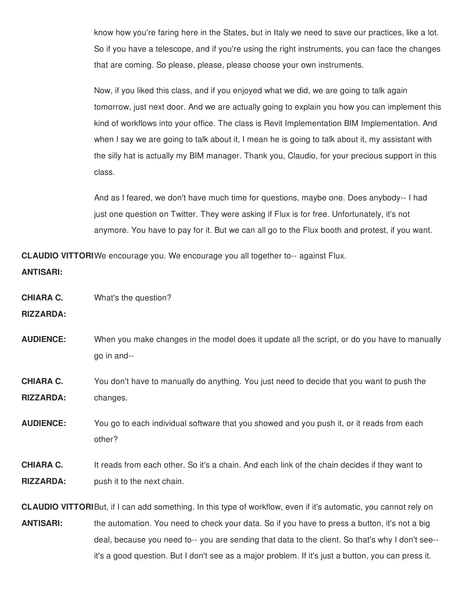know how you're faring here in the States, but in Italy we need to save our practices, like a lot. So if you have a telescope, and if you're using the right instruments, you can face the changes that are coming. So please, please, please choose your own instruments.

Now, if you liked this class, and if you enjoyed what we did, we are going to talk again tomorrow, just next door. And we are actually going to explain you how you can implement this kind of workflows into your office. The class is Revit Implementation BIM Implementation. And when I say we are going to talk about it, I mean he is going to talk about it, my assistant with the silly hat is actually my BIM manager. Thank you, Claudio, for your precious support in this class.

And as I feared, we don't have much time for questions, maybe one. Does anybody-- I had just one question on Twitter. They were asking if Flux is for free. Unfortunately, it's not anymore. You have to pay for it. But we can all go to the Flux booth and protest, if you want.

**CLAUDIO VITTORI** We encourage you. We encourage you all together to-- against Flux. **ANTISARI:**

**CHIARA C.** What's the question?

**RIZZARDA:**

- **AUDIENCE:** When you make changes in the model does it update all the script, or do you have to manually go in and--
- **CHIARA C. RIZZARDA:** You don't have to manually do anything. You just need to decide that you want to push the changes.
- **AUDIENCE:** You go to each individual software that you showed and you push it, or it reads from each other?

#### **CHIARA C. RIZZARDA:** It reads from each other. So it's a chain. And each link of the chain decides if they want to push it to the next chain.

**CLAUDIO VITTORI** But, if I can add something. In this type of workflow, even if it's automatic, you cannot rely on **ANTISARI:** the automation. You need to check your data. So if you have to press a button, it's not a big deal, because you need to-- you are sending that data to the client. So that's why I don't see- it's a good question. But I don't see as a major problem. If it's just a button, you can press it.